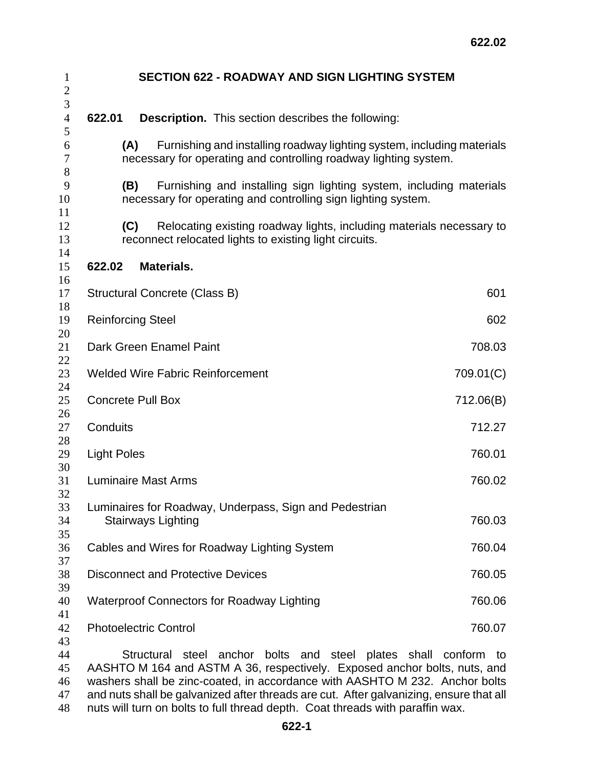| <b>SECTION 622 - ROADWAY AND SIGN LIGHTING SYSTEM</b>                                                                                             |           |  |
|---------------------------------------------------------------------------------------------------------------------------------------------------|-----------|--|
| 622.01<br><b>Description.</b> This section describes the following:                                                                               |           |  |
| Furnishing and installing roadway lighting system, including materials<br>(A)<br>necessary for operating and controlling roadway lighting system. |           |  |
| Furnishing and installing sign lighting system, including materials<br>(B)<br>necessary for operating and controlling sign lighting system.       |           |  |
| (C)<br>Relocating existing roadway lights, including materials necessary to<br>reconnect relocated lights to existing light circuits.             |           |  |
| <b>Materials.</b><br>622.02                                                                                                                       |           |  |
| Structural Concrete (Class B)                                                                                                                     | 601       |  |
| <b>Reinforcing Steel</b>                                                                                                                          | 602       |  |
| Dark Green Enamel Paint                                                                                                                           | 708.03    |  |
| <b>Welded Wire Fabric Reinforcement</b>                                                                                                           | 709.01(C) |  |
| <b>Concrete Pull Box</b><br>712.06(B)                                                                                                             |           |  |
| Conduits<br>712.27                                                                                                                                |           |  |
| 760.01<br><b>Light Poles</b>                                                                                                                      |           |  |
| <b>Luminaire Mast Arms</b>                                                                                                                        | 760.02    |  |
| Luminaires for Roadway, Underpass, Sign and Pedestrian<br><b>Stairways Lighting</b>                                                               | 760.03    |  |
| Cables and Wires for Roadway Lighting System                                                                                                      | 760.04    |  |
| <b>Disconnect and Protective Devices</b>                                                                                                          | 760.05    |  |
| <b>Waterproof Connectors for Roadway Lighting</b>                                                                                                 | 760.06    |  |
| <b>Photoelectric Control</b>                                                                                                                      | 760.07    |  |
| Structural steel anchor bolts and steel plates shall conform to<br>AASHTO M 164 and ASTM A 36, respectively. Exposed anchor bolts, nuts, and      |           |  |

and nuts shall be galvanized after threads are cut. After galvanizing, ensure that all 48 nuts will turn on bolts to full thread depth. Coat threads with paraffin wax.

washers shall be zinc-coated, in accordance with AASHTO M 232. Anchor bolts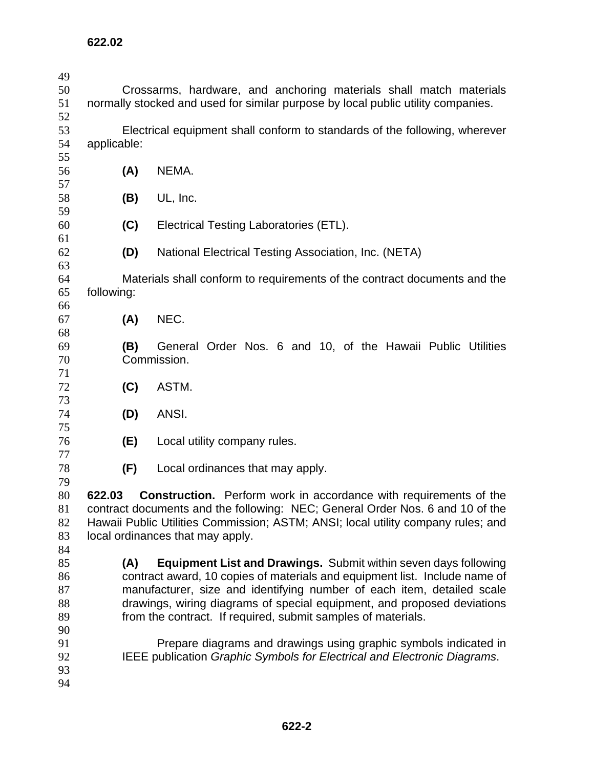| 49 |                                                                                  |     |                                                                               |  |  |
|----|----------------------------------------------------------------------------------|-----|-------------------------------------------------------------------------------|--|--|
| 50 | Crossarms, hardware, and anchoring materials shall match materials               |     |                                                                               |  |  |
| 51 | normally stocked and used for similar purpose by local public utility companies. |     |                                                                               |  |  |
| 52 |                                                                                  |     |                                                                               |  |  |
| 53 |                                                                                  |     | Electrical equipment shall conform to standards of the following, wherever    |  |  |
| 54 | applicable:                                                                      |     |                                                                               |  |  |
| 55 |                                                                                  |     |                                                                               |  |  |
| 56 |                                                                                  | (A) | NEMA.                                                                         |  |  |
| 57 |                                                                                  |     |                                                                               |  |  |
| 58 |                                                                                  | (B) | UL, Inc.                                                                      |  |  |
| 59 |                                                                                  |     |                                                                               |  |  |
| 60 |                                                                                  | (C) | Electrical Testing Laboratories (ETL).                                        |  |  |
| 61 |                                                                                  |     |                                                                               |  |  |
| 62 |                                                                                  | (D) | National Electrical Testing Association, Inc. (NETA)                          |  |  |
| 63 |                                                                                  |     |                                                                               |  |  |
| 64 |                                                                                  |     | Materials shall conform to requirements of the contract documents and the     |  |  |
| 65 | following:                                                                       |     |                                                                               |  |  |
| 66 |                                                                                  |     |                                                                               |  |  |
| 67 |                                                                                  | (A) | NEC.                                                                          |  |  |
| 68 |                                                                                  |     |                                                                               |  |  |
| 69 |                                                                                  | (B) | General Order Nos. 6 and 10, of the Hawaii Public Utilities                   |  |  |
| 70 |                                                                                  |     | Commission.                                                                   |  |  |
| 71 |                                                                                  |     |                                                                               |  |  |
| 72 |                                                                                  | (C) | ASTM.                                                                         |  |  |
| 73 |                                                                                  |     |                                                                               |  |  |
| 74 |                                                                                  | (D) | ANSI.                                                                         |  |  |
| 75 |                                                                                  |     |                                                                               |  |  |
| 76 |                                                                                  | (E) | Local utility company rules.                                                  |  |  |
| 77 |                                                                                  |     |                                                                               |  |  |
| 78 |                                                                                  | (F) | Local ordinances that may apply.                                              |  |  |
| 79 |                                                                                  |     |                                                                               |  |  |
| 80 |                                                                                  |     | 622.03 Construction. Perform work in accordance with requirements of the      |  |  |
| 81 |                                                                                  |     | contract documents and the following: NEC; General Order Nos. 6 and 10 of the |  |  |
| 82 | Hawaii Public Utilities Commission; ASTM; ANSI; local utility company rules; and |     |                                                                               |  |  |
| 83 | local ordinances that may apply.                                                 |     |                                                                               |  |  |
| 84 |                                                                                  |     |                                                                               |  |  |
| 85 |                                                                                  | (A) | <b>Equipment List and Drawings.</b> Submit within seven days following        |  |  |
| 86 | contract award, 10 copies of materials and equipment list. Include name of       |     |                                                                               |  |  |
| 87 | manufacturer, size and identifying number of each item, detailed scale           |     |                                                                               |  |  |
| 88 | drawings, wiring diagrams of special equipment, and proposed deviations          |     |                                                                               |  |  |
| 89 | from the contract. If required, submit samples of materials.                     |     |                                                                               |  |  |
| 90 |                                                                                  |     |                                                                               |  |  |
| 91 |                                                                                  |     | Prepare diagrams and drawings using graphic symbols indicated in              |  |  |
| 92 |                                                                                  |     | IEEE publication Graphic Symbols for Electrical and Electronic Diagrams.      |  |  |
| 93 |                                                                                  |     |                                                                               |  |  |
| 94 |                                                                                  |     |                                                                               |  |  |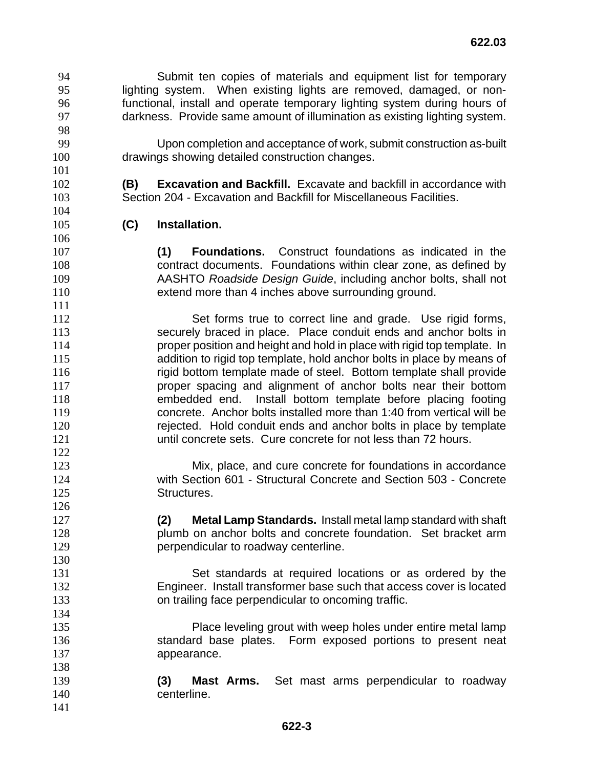Submit ten copies of materials and equipment list for temporary lighting system. When existing lights are removed, damaged, or non-functional, install and operate temporary lighting system during hours of darkness. Provide same amount of illumination as existing lighting system. 

Upon completion and acceptance of work, submit construction as-built drawings showing detailed construction changes.

**(B) Excavation and Backfill.** Excavate and backfill in accordance with Section 204 - Excavation and Backfill for Miscellaneous Facilities.

**(C) Installation.** 

**(1) Foundations.** Construct foundations as indicated in the contract documents. Foundations within clear zone, as defined by AASHTO *Roadside Design Guide*, including anchor bolts, shall not extend more than 4 inches above surrounding ground.

Set forms true to correct line and grade. Use rigid forms, securely braced in place. Place conduit ends and anchor bolts in proper position and height and hold in place with rigid top template. In addition to rigid top template, hold anchor bolts in place by means of rigid bottom template made of steel. Bottom template shall provide proper spacing and alignment of anchor bolts near their bottom embedded end. Install bottom template before placing footing concrete. Anchor bolts installed more than 1:40 from vertical will be rejected. Hold conduit ends and anchor bolts in place by template until concrete sets. Cure concrete for not less than 72 hours.

Mix, place, and cure concrete for foundations in accordance with Section 601 - Structural Concrete and Section 503 - Concrete 125 Structures.

**(2) Metal Lamp Standards.** Install metal lamp standard with shaft **plumb on anchor bolts and concrete foundation.** Set bracket arm perpendicular to roadway centerline.

Set standards at required locations or as ordered by the Engineer. Install transformer base such that access cover is located on trailing face perpendicular to oncoming traffic.

Place leveling grout with weep holes under entire metal lamp standard base plates. Form exposed portions to present neat appearance.

**(3) Mast Arms.** Set mast arms perpendicular to roadway centerline.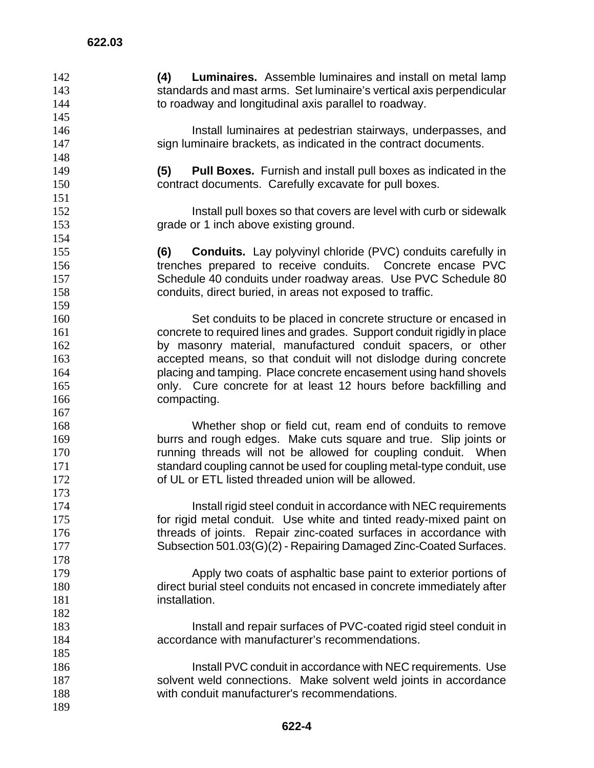**(4) Luminaires.** Assemble luminaires and install on metal lamp standards and mast arms. Set luminaire's vertical axis perpendicular to roadway and longitudinal axis parallel to roadway. Install luminaires at pedestrian stairways, underpasses, and sign luminaire brackets, as indicated in the contract documents. **(5) Pull Boxes.** Furnish and install pull boxes as indicated in the contract documents. Carefully excavate for pull boxes. Install pull boxes so that covers are level with curb or sidewalk grade or 1 inch above existing ground. **(6) Conduits.** Lay polyvinyl chloride (PVC) conduits carefully in trenches prepared to receive conduits. Concrete encase PVC Schedule 40 conduits under roadway areas. Use PVC Schedule 80 conduits, direct buried, in areas not exposed to traffic. Set conduits to be placed in concrete structure or encased in concrete to required lines and grades. Support conduit rigidly in place by masonry material, manufactured conduit spacers, or other accepted means, so that conduit will not dislodge during concrete placing and tamping. Place concrete encasement using hand shovels only. Cure concrete for at least 12 hours before backfilling and compacting. Whether shop or field cut, ream end of conduits to remove burrs and rough edges. Make cuts square and true. Slip joints or running threads will not be allowed for coupling conduit. When 171 standard coupling cannot be used for coupling metal-type conduit, use of UL or ETL listed threaded union will be allowed. **Install rigid steel conduit in accordance with NEC requirements** for rigid metal conduit. Use white and tinted ready-mixed paint on 176 threads of joints. Repair zinc-coated surfaces in accordance with Subsection 501.03(G)(2) - Repairing Damaged Zinc-Coated Surfaces. Apply two coats of asphaltic base paint to exterior portions of direct burial steel conduits not encased in concrete immediately after **installation**  Install and repair surfaces of PVC-coated rigid steel conduit in accordance with manufacturer's recommendations. 186 Install PVC conduit in accordance with NEC requirements. Use 187 solvent weld connections. Make solvent weld joints in accordance with conduit manufacturer's recommendations.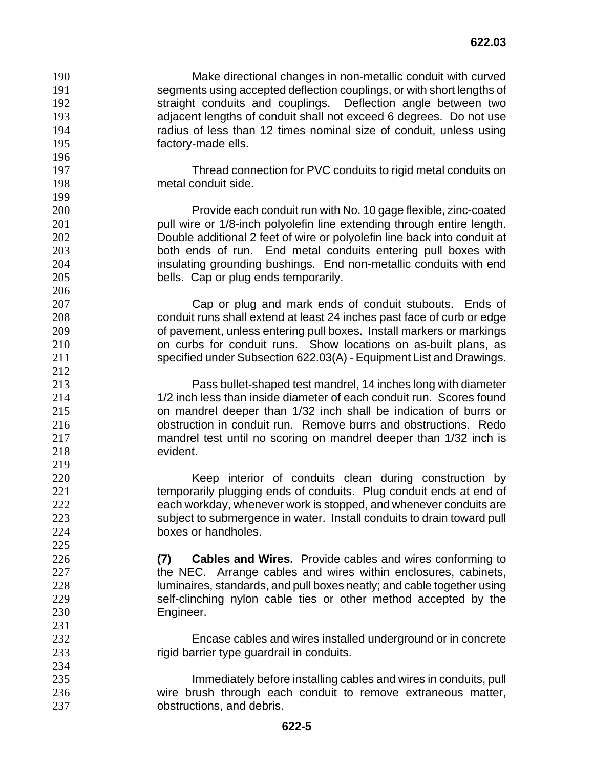Make directional changes in non-metallic conduit with curved segments using accepted deflection couplings, or with short lengths of straight conduits and couplings. Deflection angle between two adjacent lengths of conduit shall not exceed 6 degrees. Do not use radius of less than 12 times nominal size of conduit, unless using factory-made ells.

Thread connection for PVC conduits to rigid metal conduits on metal conduit side.

Provide each conduit run with No. 10 gage flexible, zinc-coated **pull wire or 1/8-inch polyolefin line extending through entire length.** Double additional 2 feet of wire or polyolefin line back into conduit at both ends of run. End metal conduits entering pull boxes with insulating grounding bushings. End non-metallic conduits with end bells. Cap or plug ends temporarily.

Cap or plug and mark ends of conduit stubouts. Ends of conduit runs shall extend at least 24 inches past face of curb or edge of pavement, unless entering pull boxes. Install markers or markings on curbs for conduit runs. Show locations on as-built plans, as specified under Subsection 622.03(A) - Equipment List and Drawings.

Pass bullet-shaped test mandrel, 14 inches long with diameter 1/2 inch less than inside diameter of each conduit run. Scores found on mandrel deeper than 1/32 inch shall be indication of burrs or obstruction in conduit run. Remove burrs and obstructions. Redo mandrel test until no scoring on mandrel deeper than 1/32 inch is evident.

Keep interior of conduits clean during construction by 221 temporarily plugging ends of conduits. Plug conduit ends at end of each workday, whenever work is stopped, and whenever conduits are subject to submergence in water. Install conduits to drain toward pull boxes or handholes.

**(7) Cables and Wires.** Provide cables and wires conforming to 227 the NEC. Arrange cables and wires within enclosures, cabinets, luminaires, standards, and pull boxes neatly; and cable together using self-clinching nylon cable ties or other method accepted by the Engineer.

Encase cables and wires installed underground or in concrete rigid barrier type guardrail in conduits.

Immediately before installing cables and wires in conduits, pull wire brush through each conduit to remove extraneous matter, obstructions, and debris.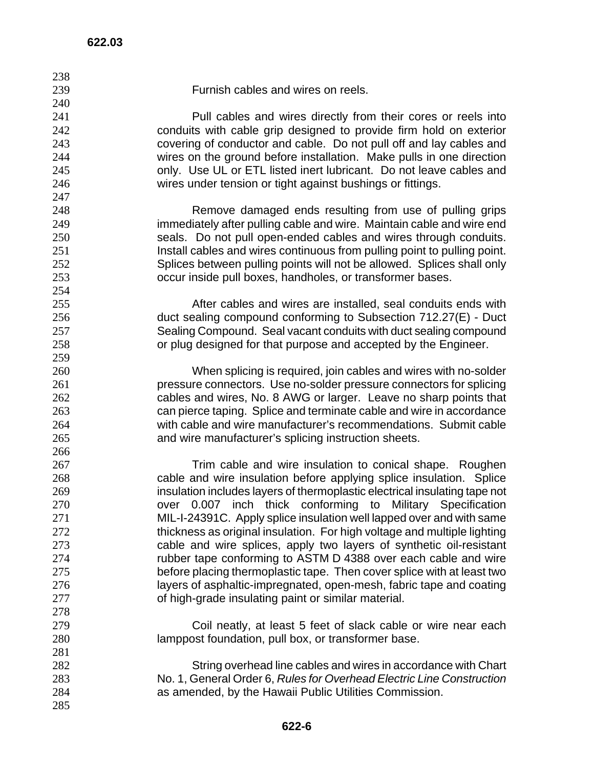| 238 |                                                                            |
|-----|----------------------------------------------------------------------------|
| 239 | Furnish cables and wires on reels.                                         |
| 240 |                                                                            |
| 241 | Pull cables and wires directly from their cores or reels into              |
| 242 | conduits with cable grip designed to provide firm hold on exterior         |
| 243 | covering of conductor and cable. Do not pull off and lay cables and        |
| 244 | wires on the ground before installation. Make pulls in one direction       |
| 245 | only. Use UL or ETL listed inert lubricant. Do not leave cables and        |
| 246 | wires under tension or tight against bushings or fittings.                 |
| 247 |                                                                            |
| 248 | Remove damaged ends resulting from use of pulling grips                    |
| 249 | immediately after pulling cable and wire. Maintain cable and wire end      |
| 250 | seals. Do not pull open-ended cables and wires through conduits.           |
| 251 | Install cables and wires continuous from pulling point to pulling point.   |
| 252 | Splices between pulling points will not be allowed. Splices shall only     |
| 253 | occur inside pull boxes, handholes, or transformer bases.                  |
| 254 |                                                                            |
| 255 | After cables and wires are installed, seal conduits ends with              |
| 256 | duct sealing compound conforming to Subsection 712.27(E) - Duct            |
| 257 | Sealing Compound. Seal vacant conduits with duct sealing compound          |
| 258 | or plug designed for that purpose and accepted by the Engineer.            |
| 259 |                                                                            |
| 260 | When splicing is required, join cables and wires with no-solder            |
| 261 | pressure connectors. Use no-solder pressure connectors for splicing        |
| 262 | cables and wires, No. 8 AWG or larger. Leave no sharp points that          |
| 263 | can pierce taping. Splice and terminate cable and wire in accordance       |
| 264 | with cable and wire manufacturer's recommendations. Submit cable           |
| 265 | and wire manufacturer's splicing instruction sheets.                       |
| 266 |                                                                            |
| 267 | Trim cable and wire insulation to conical shape. Roughen                   |
| 268 | cable and wire insulation before applying splice insulation. Splice        |
| 269 | insulation includes layers of thermoplastic electrical insulating tape not |
| 270 | over 0.007 inch thick conforming to Military Specification                 |
| 271 | MIL-I-24391C. Apply splice insulation well lapped over and with same       |
| 272 | thickness as original insulation. For high voltage and multiple lighting   |
| 273 | cable and wire splices, apply two layers of synthetic oil-resistant        |
| 274 | rubber tape conforming to ASTM D 4388 over each cable and wire             |
| 275 | before placing thermoplastic tape. Then cover splice with at least two     |
| 276 | layers of asphaltic-impregnated, open-mesh, fabric tape and coating        |
| 277 | of high-grade insulating paint or similar material.                        |
| 278 |                                                                            |
| 279 | Coil neatly, at least 5 feet of slack cable or wire near each              |
| 280 | lamppost foundation, pull box, or transformer base.                        |
| 281 |                                                                            |
| 282 | String overhead line cables and wires in accordance with Chart             |
| 283 | No. 1, General Order 6, Rules for Overhead Electric Line Construction      |
| 284 | as amended, by the Hawaii Public Utilities Commission.                     |
| 285 |                                                                            |
|     |                                                                            |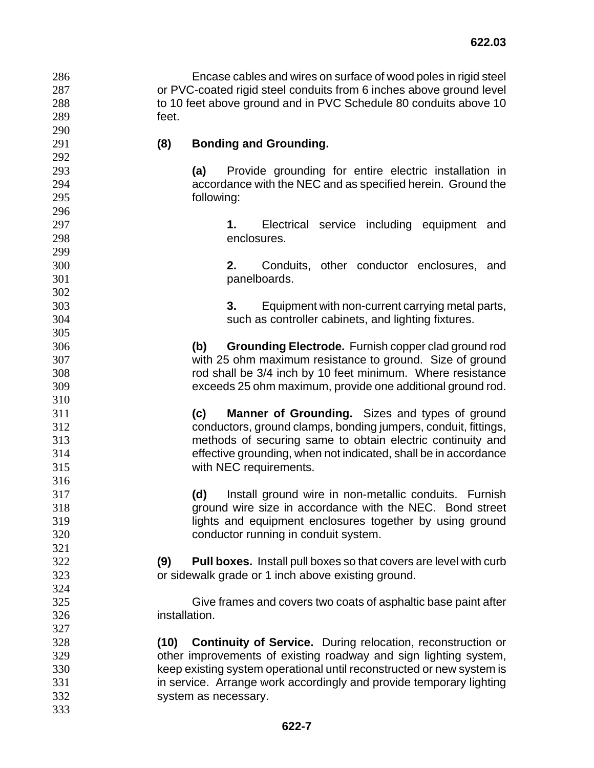| 286 | Encase cables and wires on surface of wood poles in rigid steel     |
|-----|---------------------------------------------------------------------|
| 287 | or PVC-coated rigid steel conduits from 6 inches above ground level |
| 288 | to 10 feet above ground and in PVC Schedule 80 conduits above 10    |
| 289 | feet.                                                               |
| ററ  |                                                                     |

## **(8) Bonding and Grounding.**

**(a)** Provide grounding for entire electric installation in accordance with the NEC and as specified herein. Ground the following:

**1.** Electrical service including equipment and enclosures.

**2.** Conduits, other conductor enclosures, and panelboards.

**3.** Equipment with non-current carrying metal parts, such as controller cabinets, and lighting fixtures.

**(b) Grounding Electrode.** Furnish copper clad ground rod with 25 ohm maximum resistance to ground. Size of ground rod shall be 3/4 inch by 10 feet minimum. Where resistance exceeds 25 ohm maximum, provide one additional ground rod.

**(c) Manner of Grounding.** Sizes and types of ground conductors, ground clamps, bonding jumpers, conduit, fittings, methods of securing same to obtain electric continuity and effective grounding, when not indicated, shall be in accordance with NEC requirements.

**(d)** Install ground wire in non-metallic conduits. Furnish ground wire size in accordance with the NEC. Bond street lights and equipment enclosures together by using ground conductor running in conduit system.

**(9) Pull boxes.** Install pull boxes so that covers are level with curb or sidewalk grade or 1 inch above existing ground.

Give frames and covers two coats of asphaltic base paint after installation.

**(10) Continuity of Service.** During relocation, reconstruction or other improvements of existing roadway and sign lighting system, keep existing system operational until reconstructed or new system is in service. Arrange work accordingly and provide temporary lighting system as necessary.

 **622-7**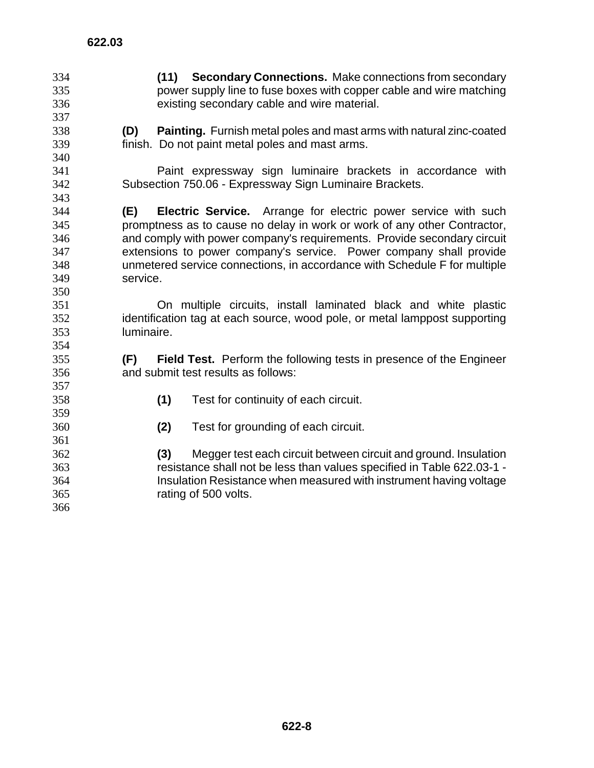**(11) Secondary Connections.** Make connections from secondary power supply line to fuse boxes with copper cable and wire matching existing secondary cable and wire material. **(D) Painting.** Furnish metal poles and mast arms with natural zinc-coated finish. Do not paint metal poles and mast arms. Paint expressway sign luminaire brackets in accordance with Subsection 750.06 - Expressway Sign Luminaire Brackets. **(E) Electric Service.** Arrange for electric power service with such promptness as to cause no delay in work or work of any other Contractor, and comply with power company's requirements. Provide secondary circuit extensions to power company's service. Power company shall provide unmetered service connections, in accordance with Schedule F for multiple service. On multiple circuits, install laminated black and white plastic identification tag at each source, wood pole, or metal lamppost supporting luminaire. **(F) Field Test.** Perform the following tests in presence of the Engineer and submit test results as follows: **(1)** Test for continuity of each circuit. **(2)** Test for grounding of each circuit. **(3)** Megger test each circuit between circuit and ground. Insulation resistance shall not be less than values specified in Table 622.03-1 - Insulation Resistance when measured with instrument having voltage rating of 500 volts.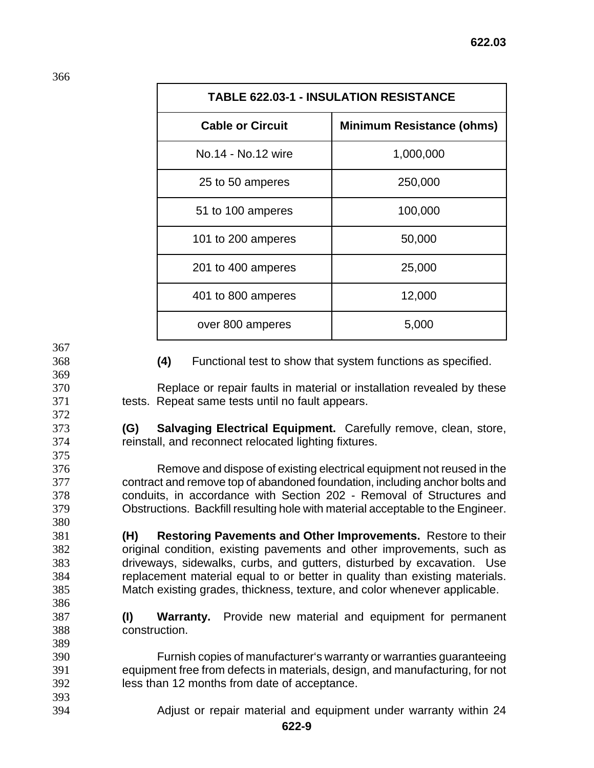| <b>TABLE 622.03-1 - INSULATION RESISTANCE</b> |                                  |  |  |
|-----------------------------------------------|----------------------------------|--|--|
| <b>Cable or Circuit</b>                       | <b>Minimum Resistance (ohms)</b> |  |  |
| No.14 - No.12 wire                            | 1,000,000                        |  |  |
| 25 to 50 amperes                              | 250,000                          |  |  |
| 51 to 100 amperes                             | 100,000                          |  |  |
| 101 to 200 amperes                            | 50,000                           |  |  |
| 201 to 400 amperes                            | 25,000                           |  |  |
| 401 to 800 amperes                            | 12,000                           |  |  |
| over 800 amperes                              | 5,000                            |  |  |

**(4)** Functional test to show that system functions as specified.

Replace or repair faults in material or installation revealed by these tests. Repeat same tests until no fault appears.

**(G) Salvaging Electrical Equipment.** Carefully remove, clean, store, reinstall, and reconnect relocated lighting fixtures.

Remove and dispose of existing electrical equipment not reused in the contract and remove top of abandoned foundation, including anchor bolts and conduits, in accordance with Section 202 - Removal of Structures and Obstructions. Backfill resulting hole with material acceptable to the Engineer.

**(H) Restoring Pavements and Other Improvements.** Restore to their original condition, existing pavements and other improvements, such as driveways, sidewalks, curbs, and gutters, disturbed by excavation. Use replacement material equal to or better in quality than existing materials. Match existing grades, thickness, texture, and color whenever applicable.

**(I) Warranty.** Provide new material and equipment for permanent construction.

Furnish copies of manufacturer's warranty or warranties guaranteeing equipment free from defects in materials, design, and manufacturing, for not less than 12 months from date of acceptance.

Adjust or repair material and equipment under warranty within 24